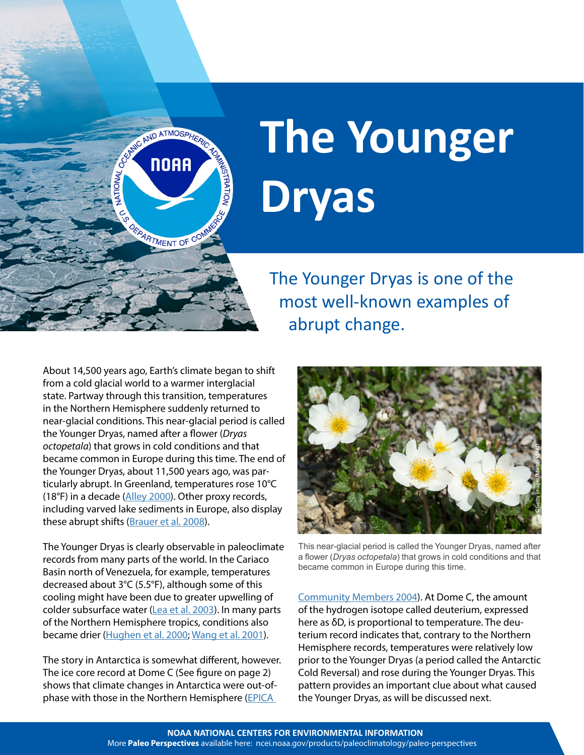

## **The Younger Dryas**

The Younger Dryas is one of the most well-known examples of abrupt change.

About 14,500 years ago, Earth's climate began to shift from a cold glacial world to a warmer interglacial state. Partway through this transition, temperatures in the Northern Hemisphere suddenly returned to near-glacial conditions. This near-glacial period is called the Younger Dryas, named after a flower (*Dryas octopetala*) that grows in cold conditions and that became common in Europe during this time. The end of the Younger Dryas, about 11,500 years ago, was particularly abrupt. In Greenland, temperatures rose 10°C (18°F) in a decade [\(Alley 2000\)](http://dx.doi.org/10.1016/S0277-3791(99)00062-1). Other proxy records, including varved lake sediments in Europe, also display these abrupt shifts ([Brauer et al. 2008](http://dx.doi.org/10.1038/ngeo263)).

The Younger Dryas is clearly observable in paleoclimate records from many parts of the world. In the Cariaco Basin north of Venezuela, for example, temperatures decreased about 3°C (5.5°F), although some of this cooling might have been due to greater upwelling of colder subsurface water ([Lea et al. 2003](http://dx.doi.org/10.1038/ngeo263)). In many parts of the Northern Hemisphere tropics, conditions also became drier ([Hughen et al. 2000;](http://dx.doi.org/10.1126/science.290.5498.1951) [Wang et al. 2001](http://dx.doi.org/10.1126/science.1064618)).

The story in Antarctica is somewhat different, however. The ice core record at Dome C (See figure on page 2) shows that climate changes in Antarctica were out-ofphase with those in the Northern Hemisphere ([EPICA](http://dx.doi.org/10.1038/nature02599) 



This near-glacial period is called the Younger Dryas, named after a flower (*Dryas octopetala*) that grows in cold conditions and that became common in Europe during this time.

[Community Members 2004\)](http://dx.doi.org/10.1038/nature02599). At Dome C, the amount of the hydrogen isotope called deuterium, expressed here as δD, is proportional to temperature. The deuterium record indicates that, contrary to the Northern Hemisphere records, temperatures were relatively low prior to the Younger Dryas (a period called the Antarctic Cold Reversal) and rose during the Younger Dryas. This pattern provides an important clue about what caused the Younger Dryas, as will be discussed next.